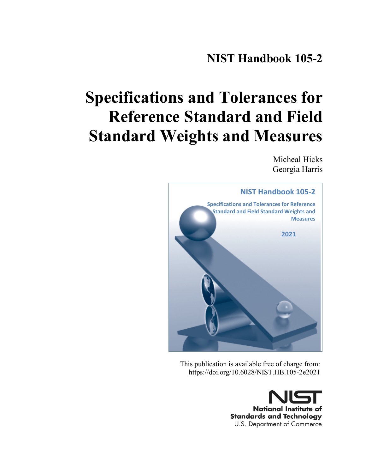# **NIST Handbook 105-2**

# **Specifications and Tolerances for Reference Standard and Field Standard Weights and Measures**

Micheal Hicks Georgia Harris



This publication is available free of charge from: https://doi.org/10.6028/NIST.HB.105-2e2021

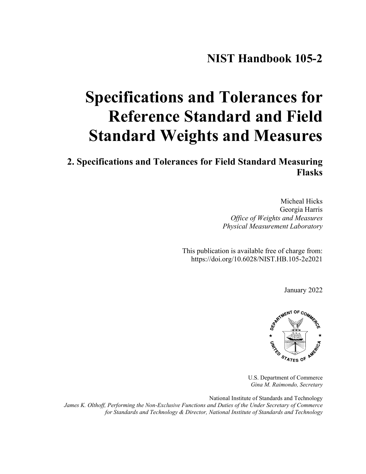# **Specifications and Tolerances for Reference Standard and Field Standard Weights and Measures**

**2. Specifications and Tolerances for Field Standard Measuring Flasks** 

> Micheal Hicks Georgia Harris *Office of Weights and Measures Physical Measurement Laboratory*

This publication is available free of charge from: https://doi.org/10.6028/NIST.HB.105-2e2021

January 2022



U.S. Department of Commerce *Gina M. Raimondo, Secretary*

National Institute of Standards and Technology *James K. Olthoff, Performing the Non-Exclusive Functions and Duties of the Under Secretary of Commerce for Standards and Technology & Director, National Institute of Standards and Technology*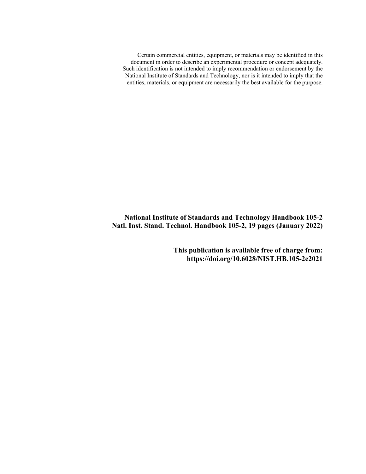Certain commercial entities, equipment, or materials may be identified in this document in order to describe an experimental procedure or concept adequately. Such identification is not intended to imply recommendation or endorsement by the National Institute of Standards and Technology, nor is it intended to imply that the entities, materials, or equipment are necessarily the best available for the purpose.

**National Institute of Standards and Technology Handbook 105-2 Natl. Inst. Stand. Technol. Handbook 105-2, 19 pages (January 2022)** 

> **This publication is available free of charge from: https://doi.org/10.6028/NIST.HB.105-2e2021**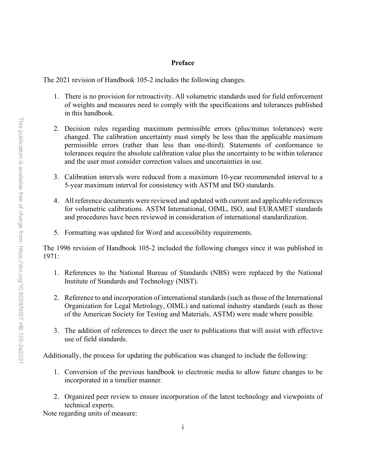#### **Preface**

The 2021 revision of Handbook 105-2 includes the following changes.

- 1. There is no provision for retroactivity. All volumetric standards used for field enforcement of weights and measures need to comply with the specifications and tolerances published in this handbook.
- 2. Decision rules regarding maximum permissible errors (plus/minus tolerances) were changed. The calibration uncertainty must simply be less than the applicable maximum permissible errors (rather than less than one-third). Statements of conformance to tolerances require the absolute calibration value plus the uncertainty to be within tolerance and the user must consider correction values and uncertainties in use.
- 3. Calibration intervals were reduced from a maximum 10-year recommended interval to a 5-year maximum interval for consistency with ASTM and ISO standards.
- 4. All reference documents were reviewed and updated with current and applicable references for volumetric calibrations. ASTM International, OIML, ISO, and EURAMET standards and procedures have been reviewed in consideration of international standardization.
- 5. Formatting was updated for Word and accessibility requirements.

The 1996 revision of Handbook 105-2 included the following changes since it was published in 1971:

- 1. References to the National Bureau of Standards (NBS) were replaced by the National Institute of Standards and Technology (NIST).
- 2. Reference to and incorporation of international standards (such as those of the International Organization for Legal Metrology, OIML) and national industry standards (such as those of the American Society for Testing and Materials, ASTM) were made where possible.
- 3. The addition of references to direct the user to publications that will assist with effective use of field standards.

Additionally, the process for updating the publication was changed to include the following:

- 1. Conversion of the previous handbook to electronic media to allow future changes to be incorporated in a timelier manner.
- 2. Organized peer review to ensure incorporation of the latest technology and viewpoints of technical experts.

Note regarding units of measure: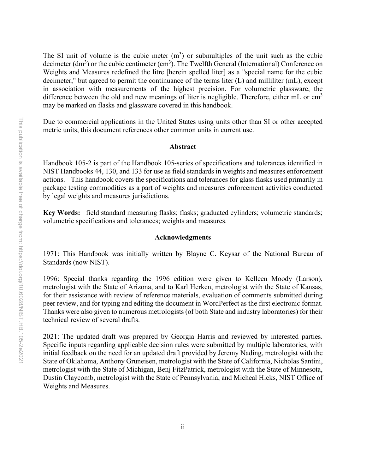The SI unit of volume is the cubic meter  $(m<sup>3</sup>)$  or submultiples of the unit such as the cubic decimeter  $(dm^3)$  or the cubic centimeter  $(cm^3)$ . The Twelfth General (International) Conference on Weights and Measures redefined the litre [herein spelled liter] as a "special name for the cubic decimeter," but agreed to permit the continuance of the terms liter (L) and milliliter (mL), except in association with measurements of the highest precision. For volumetric glassware, the difference between the old and new meanings of liter is negligible. Therefore, either  $mL$  or  $cm<sup>3</sup>$ may be marked on flasks and glassware covered in this handbook.

Due to commercial applications in the United States using units other than SI or other accepted metric units, this document references other common units in current use.

#### **Abstract**

Handbook 105-2 is part of the Handbook 105-series of specifications and tolerances identified in NIST Handbooks 44, 130, and 133 for use as field standards in weights and measures enforcement actions. This handbook covers the specifications and tolerances for glass flasks used primarily in package testing commodities as a part of weights and measures enforcement activities conducted by legal weights and measures jurisdictions.

**Key Words:** field standard measuring flasks; flasks; graduated cylinders; volumetric standards; volumetric specifications and tolerances; weights and measures.

#### **Acknowledgments**

1971: This Handbook was initially written by Blayne C. Keysar of the National Bureau of Standards (now NIST).

1996: Special thanks regarding the 1996 edition were given to Kelleen Moody (Larson), metrologist with the State of Arizona, and to Karl Herken, metrologist with the State of Kansas, for their assistance with review of reference materials, evaluation of comments submitted during peer review, and for typing and editing the document in WordPerfect as the first electronic format. Thanks were also given to numerous metrologists (of both State and industry laboratories) for their technical review of several drafts.

2021: The updated draft was prepared by Georgia Harris and reviewed by interested parties. Specific inputs regarding applicable decision rules were submitted by multiple laboratories, with initial feedback on the need for an updated draft provided by Jeremy Nading, metrologist with the State of Oklahoma, Anthony Gruneisen, metrologist with the State of California, Nicholas Santini, metrologist with the State of Michigan, Benj FitzPatrick, metrologist with the State of Minnesota, Dustin Claycomb, metrologist with the State of Pennsylvania, and Micheal Hicks, NIST Office of Weights and Measures.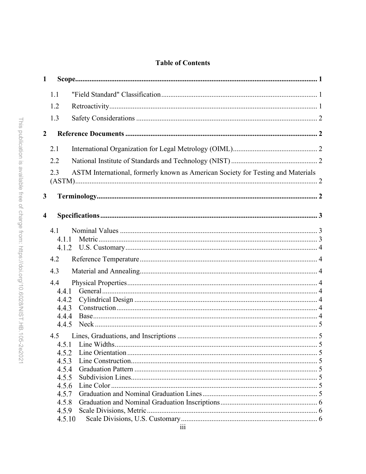# **Table of Contents**

| $\mathbf{1}$            |                |                                                                                  |  |
|-------------------------|----------------|----------------------------------------------------------------------------------|--|
|                         | 1.1            |                                                                                  |  |
|                         | 1.2            |                                                                                  |  |
|                         | 1.3            |                                                                                  |  |
| $\overline{2}$          |                |                                                                                  |  |
|                         | 2.1            |                                                                                  |  |
|                         | 2.2            |                                                                                  |  |
|                         | 2.3            | ASTM International, formerly known as American Society for Testing and Materials |  |
| 3                       |                |                                                                                  |  |
| $\overline{\mathbf{4}}$ |                |                                                                                  |  |
|                         | 4.1<br>4.1.1   |                                                                                  |  |
|                         | 4.2            |                                                                                  |  |
|                         | 4.3            |                                                                                  |  |
|                         | 4.4            |                                                                                  |  |
|                         | 4.4.1          |                                                                                  |  |
|                         | 4.4.2          |                                                                                  |  |
|                         | 4.4.3          |                                                                                  |  |
|                         | 4.4.4<br>4.4.5 |                                                                                  |  |
|                         |                |                                                                                  |  |
|                         | 4.5            |                                                                                  |  |
|                         | 4.5.2          |                                                                                  |  |
|                         | 4.5.3          |                                                                                  |  |
|                         | 4.5.4          |                                                                                  |  |
|                         | 4.5.5          |                                                                                  |  |
|                         | 4.5.6          |                                                                                  |  |
|                         | 4.5.7          |                                                                                  |  |
|                         | 4.5.8          |                                                                                  |  |
|                         | 4.5.9          |                                                                                  |  |
|                         | 4.5.10         |                                                                                  |  |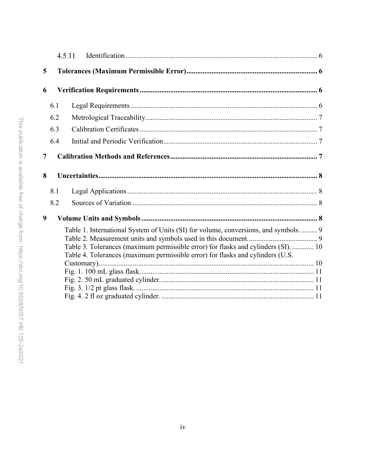|   | 4.5.11                                                                                                                                                                                                                                                       |  |
|---|--------------------------------------------------------------------------------------------------------------------------------------------------------------------------------------------------------------------------------------------------------------|--|
| 5 |                                                                                                                                                                                                                                                              |  |
| 6 |                                                                                                                                                                                                                                                              |  |
|   | 6.1                                                                                                                                                                                                                                                          |  |
|   | 6.2                                                                                                                                                                                                                                                          |  |
|   | 6.3                                                                                                                                                                                                                                                          |  |
|   | 6.4                                                                                                                                                                                                                                                          |  |
| 7 |                                                                                                                                                                                                                                                              |  |
| 8 |                                                                                                                                                                                                                                                              |  |
|   | 8.1                                                                                                                                                                                                                                                          |  |
|   | 8.2                                                                                                                                                                                                                                                          |  |
| 9 |                                                                                                                                                                                                                                                              |  |
|   | Table 1. International System of Units (SI) for volume, conversions, and symbols.  9<br>Table 3. Tolerances (maximum permissible error) for flasks and cylinders (SI).  10<br>Table 4. Tolerances (maximum permissible error) for flasks and cylinders (U.S. |  |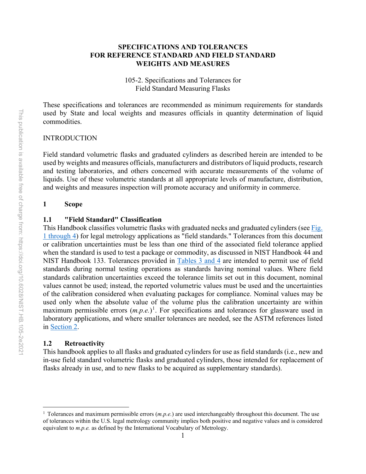#### **SPECIFICATIONS AND TOLERANCES FOR REFERENCE STANDARD AND FIELD STANDARD WEIGHTS AND MEASURES**

105-2. Specifications and Tolerances for Field Standard Measuring Flasks

These specifications and tolerances are recommended as minimum requirements for standards used by State and local weights and measures officials in quantity determination of liquid commodities.

#### INTRODUCTION

Field standard volumetric flasks and graduated cylinders as described herein are intended to be used by weights and measures officials, manufacturers and distributors of liquid products, research and testing laboratories, and others concerned with accurate measurements of the volume of liquids. Use of these volumetric standards at all appropriate levels of manufacture, distribution, and weights and measures inspection will promote accuracy and uniformity in commerce.

#### <span id="page-7-0"></span>**1 Scope**

#### <span id="page-7-1"></span>**1.1 "Field Standard" Classification**

This Handbook classifies volumetric flasks with graduated necks and graduated cylinders (see [Fig.](#page-17-0) [1 through 4\)](#page-17-0) for legal metrology applications as "field standards." Tolerances from this document or calibration uncertainties must be less than one third of the associated field tolerance applied when the standard is used to test a package or commodity, as discussed in NIST Handbook 44 and NIST Handbook 133. Tolerances provided in [Tables 3](#page-16-0) and 4 are intended to permit use of field standards during normal testing operations as standards having nominal values. Where field standards calibration uncertainties exceed the tolerance limits set out in this document, nominal values cannot be used; instead, the reported volumetric values must be used and the uncertainties of the calibration considered when evaluating packages for compliance. Nominal values may be used only when the absolute value of the volume plus the calibration uncertainty are within maximum permissible errors  $(m.p.e.)$ <sup>[1](#page-7-3)</sup>. For specifications and tolerances for glassware used in laboratory applications, and where smaller tolerances are needed, see the ASTM references listed in [Section 2.](#page-8-1)

#### <span id="page-7-2"></span>**1.2 Retroactivity**

This handbook applies to all flasks and graduated cylinders for use as field standards (i.e., new and in-use field standard volumetric flasks and graduated cylinders, those intended for replacement of flasks already in use, and to new flasks to be acquired as supplementary standards).

<span id="page-7-3"></span><sup>1</sup> Tolerances and maximum permissible errors (*m.p.e.*) are used interchangeably throughout this document. The use of tolerances within the U.S. legal metrology community implies both positive and negative values and is considered equivalent to *m.p.e.* as defined by the International Vocabulary of Metrology.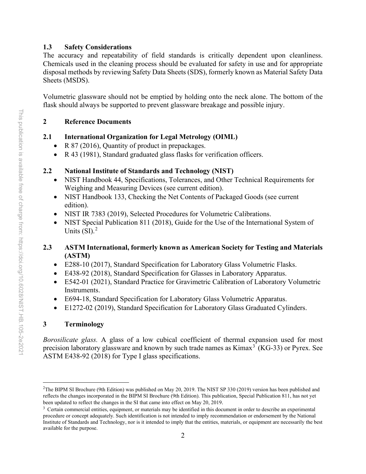# <span id="page-8-0"></span>**1.3 Safety Considerations**

The accuracy and repeatability of field standards is critically dependent upon cleanliness. Chemicals used in the cleaning process should be evaluated for safety in use and for appropriate disposal methods by reviewing Safety Data Sheets (SDS), formerly known as Material Safety Data Sheets (MSDS).

Volumetric glassware should not be emptied by holding onto the neck alone. The bottom of the flask should always be supported to prevent glassware breakage and possible injury.

# <span id="page-8-1"></span>**2 Reference Documents**

# <span id="page-8-2"></span>**2.1 International Organization for Legal Metrology (OIML)**

- R 87 (2016), Quantity of product in prepackages.
- R 43 (1981), Standard graduated glass flasks for verification officers.

# <span id="page-8-3"></span>**2.2 National Institute of Standards and Technology (NIST)**

- NIST Handbook 44, Specifications, Tolerances, and Other Technical Requirements for Weighing and Measuring Devices (see current edition).
- NIST Handbook 133, Checking the Net Contents of Packaged Goods (see current edition).
- NIST IR 7383 (2019), Selected Procedures for Volumetric Calibrations.
- NIST Special Publication 811 (2018), Guide for the Use of the International System of Units (SI).<sup>[2](#page-8-6)</sup>

# <span id="page-8-4"></span>**2.3 ASTM International, formerly known as American Society for Testing and Materials (ASTM)**

- E288-10 (2017), Standard Specification for Laboratory Glass Volumetric Flasks.
- E438-92 (2018), Standard Specification for Glasses in Laboratory Apparatus.
- E542-01 (2021), Standard Practice for Gravimetric Calibration of Laboratory Volumetric Instruments.
- E694-18, Standard Specification for Laboratory Glass Volumetric Apparatus.
- E1272-02 (2019), Standard Specification for Laboratory Glass Graduated Cylinders.

# <span id="page-8-5"></span>**3 Terminology**

*Borosilicate glass.* A glass of a low cubical coefficient of thermal expansion used for most precision laboratory glassware and known by such trade names as  $\text{Kimax}^3(\text{KG-33})$  $\text{Kimax}^3(\text{KG-33})$  $\text{Kimax}^3(\text{KG-33})$  or Pyrex. See ASTM E438-92 (2018) for Type I glass specifications.

<span id="page-8-6"></span><sup>&</sup>lt;sup>2</sup>The BIPM SI Brochure (9th Edition) was published on May 20, 2019. The NIST SP 330 (2019) version has been published and reflects the changes incorporated in the BIPM SI Brochure (9th Edition). This publication, Special Publication 811, has not yet been updated to reflect the changes in the SI that came into effect on May 20, 2019.<br><sup>3</sup> Certain commercial entities, equipment, or materials may be identified in this document in order to describe an experimental

<span id="page-8-7"></span>procedure or concept adequately. Such identification is not intended to imply recommendation or endorsement by the National Institute of Standards and Technology, nor is it intended to imply that the entities, materials, or equipment are necessarily the best available for the purpose.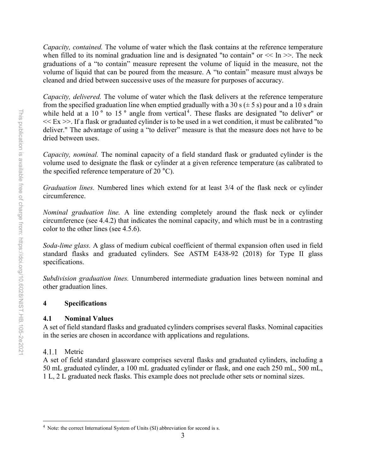*Capacity, contained.* The volume of water which the flask contains at the reference temperature when filled to its nominal graduation line and is designated "to contain" or  $\ll$  In  $\gg$ . The neck graduations of a "to contain" measure represent the volume of liquid in the measure, not the volume of liquid that can be poured from the measure. A "to contain" measure must always be cleaned and dried between successive uses of the measure for purposes of accuracy.

*Capacity, delivered.* The volume of water which the flask delivers at the reference temperature from the specified graduation line when emptied gradually with a 30 s  $(\pm 5 \text{ s})$  pour and a 10 s drain while held at a 10 $\degree$  to 15 $\degree$  angle from vertical<sup>[4](#page-9-3)</sup>. These flasks are designated "to deliver" or  $<< E_X >>$ . If a flask or graduated cylinder is to be used in a wet condition, it must be calibrated "to deliver." The advantage of using a "to deliver" measure is that the measure does not have to be dried between uses.

*Capacity, nominal.* The nominal capacity of a field standard flask or graduated cylinder is the volume used to designate the flask or cylinder at a given reference temperature (as calibrated to the specified reference temperature of 20 °C).

*Graduation lines.* Numbered lines which extend for at least 3/4 of the flask neck or cylinder circumference.

*Nominal graduation line.* A line extending completely around the flask neck or cylinder circumference (see 4.4.2) that indicates the nominal capacity, and which must be in a contrasting color to the other lines (see 4.5.6).

*Soda-lime glass.* A glass of medium cubical coefficient of thermal expansion often used in field standard flasks and graduated cylinders. See ASTM E438-92 (2018) for Type II glass specifications.

*Subdivision graduation lines.* Unnumbered intermediate graduation lines between nominal and other graduation lines.

# <span id="page-9-0"></span>**4 Specifications**

# <span id="page-9-1"></span>**4.1 Nominal Values**

A set of field standard flasks and graduated cylinders comprises several flasks. Nominal capacities in the series are chosen in accordance with applications and regulations.

# <span id="page-9-2"></span>4.1.1 Metric

A set of field standard glassware comprises several flasks and graduated cylinders, including a 50 mL graduated cylinder, a 100 mL graduated cylinder or flask, and one each 250 mL, 500 mL, 1 L, 2 L graduated neck flasks. This example does not preclude other sets or nominal sizes.

<span id="page-9-3"></span><sup>&</sup>lt;sup>4</sup> Note: the correct International System of Units (SI) abbreviation for second is s.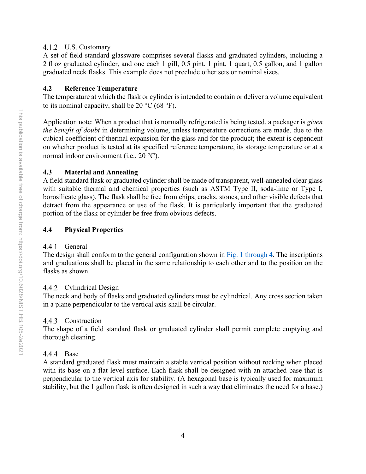#### <span id="page-10-0"></span>U.S. Customary

A set of field standard glassware comprises several flasks and graduated cylinders, including a 2 fl oz graduated cylinder, and one each 1 gill, 0.5 pint, 1 pint, 1 quart, 0.5 gallon, and 1 gallon graduated neck flasks. This example does not preclude other sets or nominal sizes.

# <span id="page-10-1"></span>**4.2 Reference Temperature**

The temperature at which the flask or cylinder is intended to contain or deliver a volume equivalent to its nominal capacity, shall be  $20^{\circ}$ C (68 °F).

Application note: When a product that is normally refrigerated is being tested, a packager is *given the benefit of doubt* in determining volume, unless temperature corrections are made, due to the cubical coefficient of thermal expansion for the glass and for the product; the extent is dependent on whether product is tested at its specified reference temperature, its storage temperature or at a normal indoor environment (i.e., 20 °C).

# <span id="page-10-2"></span>**4.3 Material and Annealing**

A field standard flask or graduated cylinder shall be made of transparent, well-annealed clear glass with suitable thermal and chemical properties (such as ASTM Type II, soda-lime or Type I, borosilicate glass). The flask shall be free from chips, cracks, stones, and other visible defects that detract from the appearance or use of the flask. It is particularly important that the graduated portion of the flask or cylinder be free from obvious defects.

# <span id="page-10-3"></span>**4.4 Physical Properties**

# <span id="page-10-4"></span>4.4.1 General

The design shall conform to the general configuration shown in Fig. 1 [through 4.](#page-17-0) The inscriptions and graduations shall be placed in the same relationship to each other and to the position on the flasks as shown.

# <span id="page-10-5"></span>4.4.2 Cylindrical Design

The neck and body of flasks and graduated cylinders must be cylindrical. Any cross section taken in a plane perpendicular to the vertical axis shall be circular.

# <span id="page-10-6"></span>4.4.3 Construction

The shape of a field standard flask or graduated cylinder shall permit complete emptying and thorough cleaning.

# <span id="page-10-7"></span>4.4.4 Base

A standard graduated flask must maintain a stable vertical position without rocking when placed with its base on a flat level surface. Each flask shall be designed with an attached base that is perpendicular to the vertical axis for stability. (A hexagonal base is typically used for maximum stability, but the 1 gallon flask is often designed in such a way that eliminates the need for a base.)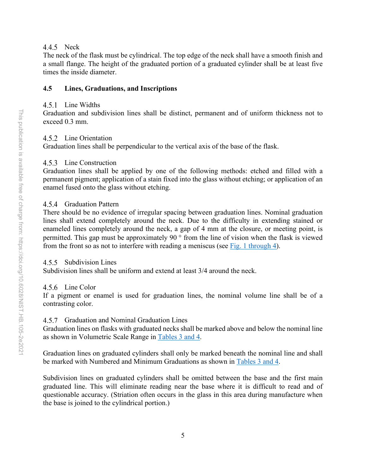#### <span id="page-11-0"></span>4.4.5 Neck

The neck of the flask must be cylindrical. The top edge of the neck shall have a smooth finish and a small flange. The height of the graduated portion of a graduated cylinder shall be at least five times the inside diameter.

# <span id="page-11-1"></span>**4.5 Lines, Graduations, and Inscriptions**

#### <span id="page-11-2"></span>4.5.1 Line Widths

Graduation and subdivision lines shall be distinct, permanent and of uniform thickness not to exceed 0.3 mm.

# <span id="page-11-3"></span>4.5.2 Line Orientation

Graduation lines shall be perpendicular to the vertical axis of the base of the flask.

# <span id="page-11-4"></span>4.5.3 Line Construction

Graduation lines shall be applied by one of the following methods: etched and filled with a permanent pigment; application of a stain fixed into the glass without etching; or application of an enamel fused onto the glass without etching.

# <span id="page-11-5"></span>4.5.4 Graduation Pattern

There should be no evidence of irregular spacing between graduation lines. Nominal graduation lines shall extend completely around the neck. Due to the difficulty in extending stained or enameled lines completely around the neck, a gap of 4 mm at the closure, or meeting point, is permitted. This gap must be approximately 90 ° from the line of vision when the flask is viewed from the front so as not to interfere with reading a meniscus (see [Fig. 1 through 4\)](#page-17-0).

# <span id="page-11-6"></span>4.5.5 Subdivision Lines

Subdivision lines shall be uniform and extend at least 3/4 around the neck.

# <span id="page-11-7"></span>4.5.6 Line Color

If a pigment or enamel is used for graduation lines, the nominal volume line shall be of a contrasting color.

# <span id="page-11-8"></span>4.5.7 Graduation and Nominal Graduation Lines

Graduation lines on flasks with graduated necks shall be marked above and below the nominal line as shown in Volumetric Scale Range in Tables [3 and 4.](#page-16-0)

Graduation lines on graduated cylinders shall only be marked beneath the nominal line and shall be marked with Numbered and Minimum Graduations as shown in Tables [3 and 4.](#page-16-0)

Subdivision lines on graduated cylinders shall be omitted between the base and the first main graduated line. This will eliminate reading near the base where it is difficult to read and of questionable accuracy. (Striation often occurs in the glass in this area during manufacture when the base is joined to the cylindrical portion.)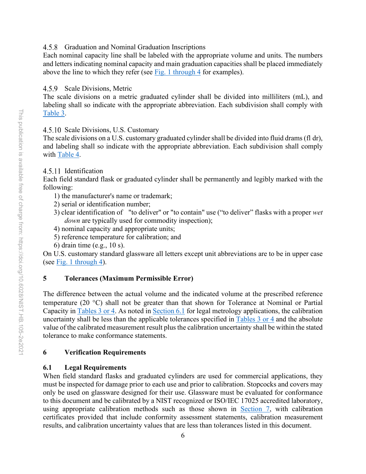#### <span id="page-12-0"></span>4.5.8 Graduation and Nominal Graduation Inscriptions

Each nominal capacity line shall be labeled with the appropriate volume and units. The numbers and letters indicating nominal capacity and main graduation capacities shall be placed immediately above the line to which they refer (see [Fig. 1 through](#page-17-0) 4 for examples).

# <span id="page-12-1"></span>4.5.9 Scale Divisions, Metric

The scale divisions on a metric graduated cylinder shall be divided into milliliters (mL), and labeling shall so indicate with the appropriate abbreviation. Each subdivision shall comply with [Table 3.](#page-16-0)

# <span id="page-12-2"></span>4.5.10 Scale Divisions, U.S. Customary

The scale divisions on a U.S. customary graduated cylinder shall be divided into fluid drams(fl dr), and labeling shall so indicate with the appropriate abbreviation. Each subdivision shall comply with [Table 4.](#page-16-1)

# <span id="page-12-3"></span>4.5.11 Identification

Each field standard flask or graduated cylinder shall be permanently and legibly marked with the following:

- 1) the manufacturer's name or trademark;
- 2) serial or identification number;
- 3) clear identification of "to deliver" or "to contain" use ("to deliver" flasks with a proper *wet down* are typically used for commodity inspection);
- 4) nominal capacity and appropriate units;
- 5) reference temperature for calibration; and
- 6) drain time (e.g., 10 s).

On U.S. customary standard glassware all letters except unit abbreviations are to be in upper case (see [Fig. 1 through 4\)](#page-17-0).

# <span id="page-12-4"></span>**5 Tolerances (Maximum Permissible Error)**

The difference between the actual volume and the indicated volume at the prescribed reference temperature (20 °C) shall not be greater than that shown for Tolerance at Nominal or Partial Capacity in [Tables](#page-16-0) 3 or 4. As noted in [Section 6.1](#page-12-6) for legal metrology applications, the calibration uncertainty shall be less than the applicable tolerances specified in [Tables](#page-16-0) 3 or 4 and the absolute value of the calibrated measurement result plus the calibration uncertainty shall be within the stated tolerance to make conformance statements.

# <span id="page-12-5"></span>**6 Verification Requirements**

# <span id="page-12-6"></span>**6.1 Legal Requirements**

When field standard flasks and graduated cylinders are used for commercial applications, they must be inspected for damage prior to each use and prior to calibration. Stopcocks and covers may only be used on glassware designed for their use. Glassware must be evaluated for conformance to this document and be calibrated by a NIST recognized or ISO/IEC 17025 accredited laboratory, using appropriate calibration methods such as those shown in [Section 7,](#page-13-3) with calibration certificates provided that include conformity assessment statements, calibration measurement results, and calibration uncertainty values that are less than tolerances listed in this document.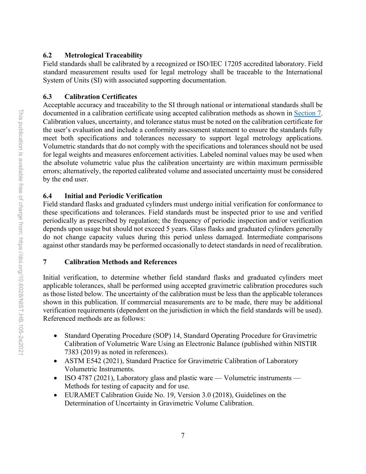#### <span id="page-13-0"></span>**6.2 Metrological Traceability**

Field standards shall be calibrated by a recognized or ISO/IEC 17205 accredited laboratory. Field standard measurement results used for legal metrology shall be traceable to the International System of Units (SI) with associated supporting documentation.

#### <span id="page-13-1"></span>**6.3 Calibration Certificates**

Acceptable accuracy and traceability to the SI through national or international standards shall be documented in a calibration certificate using accepted calibration methods as shown in [Section 7.](#page-13-3) Calibration values, uncertainty, and tolerance status must be noted on the calibration certificate for the user's evaluation and include a conformity assessment statement to ensure the standards fully meet both specifications and tolerances necessary to support legal metrology applications. Volumetric standards that do not comply with the specifications and tolerances should not be used for legal weights and measures enforcement activities. Labeled nominal values may be used when the absolute volumetric value plus the calibration uncertainty are within maximum permissible errors; alternatively, the reported calibrated volume and associated uncertainty must be considered by the end user.

# <span id="page-13-2"></span>**6.4 Initial and Periodic Verification**

Field standard flasks and graduated cylinders must undergo initial verification for conformance to these specifications and tolerances. Field standards must be inspected prior to use and verified periodically as prescribed by regulation; the frequency of periodic inspection and/or verification depends upon usage but should not exceed 5 years. Glass flasks and graduated cylinders generally do not change capacity values during this period unless damaged. Intermediate comparisons against other standards may be performed occasionally to detect standards in need of recalibration.

#### <span id="page-13-3"></span>**7 Calibration Methods and References**

Initial verification, to determine whether field standard flasks and graduated cylinders meet applicable tolerances, shall be performed using accepted gravimetric calibration procedures such as those listed below. The uncertainty of the calibration must be less than the applicable tolerances shown in this publication. If commercial measurements are to be made, there may be additional verification requirements (dependent on the jurisdiction in which the field standards will be used). Referenced methods are as follows:

- Standard Operating Procedure (SOP) 14, Standard Operating Procedure for Gravimetric Calibration of Volumetric Ware Using an Electronic Balance (published within NISTIR 7383 (2019) as noted in references).
- ASTM E542 (2021), Standard Practice for Gravimetric Calibration of Laboratory Volumetric Instruments.
- ISO 4787 (2021), Laboratory glass and plastic ware Volumetric instruments Methods for testing of capacity and for use.
- EURAMET Calibration Guide No. 19, Version 3.0 (2018), Guidelines on the Determination of Uncertainty in Gravimetric Volume Calibration.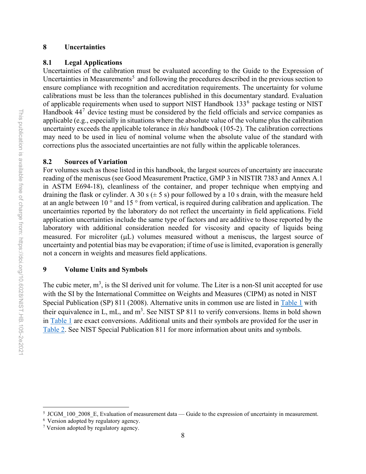#### <span id="page-14-0"></span>**8 Uncertainties**

#### <span id="page-14-1"></span>**8.1 Legal Applications**

Uncertainties of the calibration must be evaluated according to the Guide to the Expression of Uncertainties in Measurements<sup>[5](#page-14-4)</sup> and following the procedures described in the previous section to ensure compliance with recognition and accreditation requirements. The uncertainty for volume calibrations must be less than the tolerances published in this documentary standard. Evaluation of applicable requirements when used to support NIST Handbook  $133<sup>6</sup>$  $133<sup>6</sup>$  $133<sup>6</sup>$  package testing or NIST Handbook  $44<sup>7</sup>$  $44<sup>7</sup>$  $44<sup>7</sup>$  device testing must be considered by the field officials and service companies as applicable (e.g., especially in situations where the absolute value of the volume plus the calibration uncertainty exceeds the applicable tolerance in *this* handbook (105-2). The calibration corrections may need to be used in lieu of nominal volume when the absolute value of the standard with corrections plus the associated uncertainties are not fully within the applicable tolerances.

#### <span id="page-14-2"></span>**8.2 Sources of Variation**

For volumes such as those listed in this handbook, the largest sources of uncertainty are inaccurate reading of the meniscus (see Good Measurement Practice, GMP 3 in NISTIR 7383 and Annex A.1 in ASTM E694-18), cleanliness of the container, and proper technique when emptying and draining the flask or cylinder. A 30 s  $(\pm 5 \text{ s})$  pour followed by a 10 s drain, with the measure held at an angle between 10 ° and 15 ° from vertical, is required during calibration and application. The uncertainties reported by the laboratory do not reflect the uncertainty in field applications. Field application uncertainties include the same type of factors and are additive to those reported by the laboratory with additional consideration needed for viscosity and opacity of liquids being measured. For microliter ( $\mu$ L) volumes measured without a meniscus, the largest source of uncertainty and potential bias may be evaporation; if time of use is limited, evaporation is generally not a concern in weights and measures field applications.

#### <span id="page-14-3"></span>**9 Volume Units and Symbols**

The cubic meter,  $m<sup>3</sup>$ , is the SI derived unit for volume. The Liter is a non-SI unit accepted for use with the SI by the International Committee on Weights and Measures (CIPM) as noted in NIST Special Publication (SP) 811 (2008). Alternative units in common use are listed in [Table 1](#page-15-0) with their equivalence in L, mL, and  $m^3$ . See NIST SP 811 to verify conversions. Items in bold shown in [Table 1](#page-15-0) are exact conversions. Additional units and their symbols are provided for the user in [Table 2.](#page-15-1) See NIST Special Publication 811 for more information about units and symbols.

<span id="page-14-4"></span><sup>&</sup>lt;sup>5</sup> JCGM 100 2008 E, Evaluation of measurement data — Guide to the expression of uncertainty in measurement.

<span id="page-14-5"></span><sup>6</sup> Version adopted by regulatory agency.

<span id="page-14-6"></span><sup>7</sup> Version adopted by regulatory agency.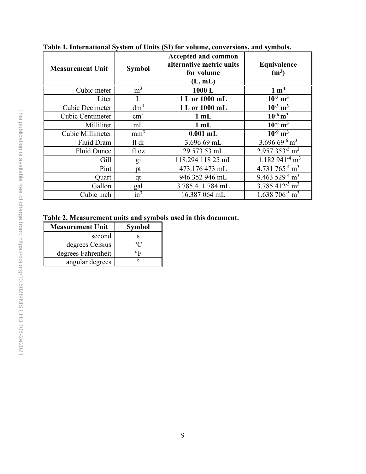| <b>Measurement Unit</b> | <b>Symbol</b>   | Accepted and common<br>alternative metric units<br>for volume<br>(L, mL) | Equivalence<br>(m <sup>3</sup> )       |
|-------------------------|-----------------|--------------------------------------------------------------------------|----------------------------------------|
| Cubic meter             | m <sup>3</sup>  | 1000L                                                                    | $1 \text{ m}^3$                        |
| Liter                   | L               | 1 L or 1000 mL                                                           | $10^{-3}$ m <sup>3</sup>               |
| <b>Cubic Decimeter</b>  | dm <sup>3</sup> | 1 L or 1000 mL                                                           | $10^{-3}$ m <sup>3</sup>               |
| Cubic Centimeter        | $\text{cm}^3$   | $1$ mL                                                                   | $10^{-6}$ m <sup>3</sup>               |
| Milliliter              | mL              | $1$ mL                                                                   | $10^{-6}$ m <sup>3</sup>               |
| Cubic Millimeter        | mm <sup>3</sup> | $0.001$ mL                                                               | $10^{-9}$ m <sup>3</sup>               |
| Fluid Dram              | fl dr           | 3.696 69 mL                                                              | 3.696 69 $-6 \overline{m^3}$           |
| Fluid Ounce             | fl oz           | 29.573 53 mL                                                             | 2.957 353 <sup>-5</sup> m <sup>3</sup> |
| Gill                    | $\overline{g}$  | 118.294 118 25 mL                                                        | $1.182941^{4}$ m <sup>3</sup>          |
| Pint                    | pt              | 473.176 473 mL                                                           | 4.731 765 <sup>-4</sup> m <sup>3</sup> |
| Quart                   | qt              | 946.352 946 mL                                                           | 9.463 $529^{-4}$ m <sup>3</sup>        |
| Gallon                  | gal             | 3 785.411 784 mL                                                         | $3.785\ 412^{-3} \text{ m}^3$          |
| Cubic inch              | $\sin^3$        | 16.387 064 mL                                                            | $1.638\ 706^{5} \text{ m}^3$           |

<span id="page-15-0"></span>**Table 1. International System of Units (SI) for volume, conversions, and symbols.**

<span id="page-15-1"></span>**Table 2. Measurement units and symbols used in this document.**

| <b>Measurement Unit</b> | <b>Symbol</b> |  |  |
|-------------------------|---------------|--|--|
| second                  |               |  |  |
| degrees Celsius         |               |  |  |
| degrees Fahrenheit      |               |  |  |
| angular degrees         |               |  |  |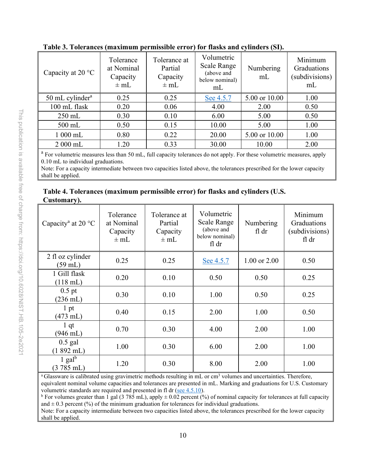| Capacity at 20 °C           | Tolerance<br>at Nominal<br>Capacity<br>$\pm$ mL | Tolerance at<br>Partial<br>Capacity<br>$\pm$ mL | Volumetric<br><b>Scale Range</b><br>(above and<br>below nominal)<br>mL | Numbering<br>mL | Minimum<br>Graduations<br>(subdivisions)<br>mL |
|-----------------------------|-------------------------------------------------|-------------------------------------------------|------------------------------------------------------------------------|-----------------|------------------------------------------------|
| 50 mL cylinder <sup>a</sup> | 0.25                                            | 0.25                                            | See 4.5.7                                                              | 5.00 or 10.00   | 1.00                                           |
| 100 mL flask                | 0.20                                            | 0.06                                            | 4.00                                                                   | 2.00            | 0.50                                           |
| $250$ mL                    | 0.30                                            | 0.10                                            | 6.00                                                                   | 5.00            | 0.50                                           |
| $500$ mL                    | 0.50                                            | 0.15                                            | 10.00                                                                  | 5.00            | 1.00                                           |
| $1000$ mL                   | 0.80                                            | 0.22                                            | 20.00                                                                  | 5.00 or 10.00   | 1.00                                           |
| $2000$ mL                   | 1.20                                            | 0.33                                            | 30.00                                                                  | 10.00           | 2.00                                           |

<span id="page-16-0"></span>**Table 3. Tolerances (maximum permissible error) for flasks and cylinders (SI).**

<sup>a</sup> For volumetric measures less than 50 mL, full capacity tolerances do not apply. For these volumetric measures, apply 0.10 mL to individual graduations.

Note: For a capacity intermediate between two capacities listed above, the tolerances prescribed for the lower capacity shall be applied.

<span id="page-16-1"></span>

|             | Table 4. Tolerances (maximum permissible error) for flasks and cylinders (U.S. |  |  |
|-------------|--------------------------------------------------------------------------------|--|--|
| Customary). |                                                                                |  |  |

| Capacity <sup>a</sup> at 20 °C          | Tolerance<br>at Nominal<br>Capacity<br>$\pm$ mL | Tolerance at<br>Partial<br>Capacity<br>$\pm$ mL | Volumetric<br>Scale Range<br>(above and<br>below nominal)<br>fl dr | Numbering<br>fl dr | Minimum<br>Graduations<br>(subdivisions)<br>fl dr |
|-----------------------------------------|-------------------------------------------------|-------------------------------------------------|--------------------------------------------------------------------|--------------------|---------------------------------------------------|
| 2 fl oz cylinder<br>$(59 \text{ mL})$   | 0.25                                            | 0.25                                            | See 4.5.7                                                          | 1.00 or 2.00       | 0.50                                              |
| 1 Gill flask<br>$(118 \text{ mL})$      | 0.20                                            | 0.10                                            | 0.50                                                               | 0.50               | 0.25                                              |
| $0.5$ pt<br>$(236 \text{ mL})$          | 0.30                                            | 0.10                                            | 1.00                                                               | 0.50               | 0.25                                              |
| 1 pt<br>(473 mL)                        | 0.40                                            | 0.15                                            | 2.00                                                               | 1.00               | 0.50                                              |
| 1 <sub>qt</sub><br>$(946 \text{ mL})$   | 0.70                                            | 0.30                                            | 4.00                                                               | 2.00               | 1.00                                              |
| $0.5$ gal<br>$(1892 \text{ mL})$        | 1.00                                            | 0.30                                            | 6.00                                                               | 2.00               | 1.00                                              |
| 1 gal $^{\rm b}$<br>$(3785 \text{ mL})$ | 1.20                                            | 0.30                                            | 8.00                                                               | 2.00               | 1.00                                              |

<sup>a</sup> Glassware is calibrated using gravimetric methods resulting in mL or cm<sup>3</sup> volumes and uncertainties. Therefore, equivalent nominal volume capacities and tolerances are presented in mL. Marking and graduations for U.S. Customary volumetric standards are required and presented in fl dr [\(see 4.5.10\)](#page-12-2).

<sup>b</sup> For volumes greater than 1 gal (3 785 mL), apply  $\pm$  0.02 percent (%) of nominal capacity for tolerances at full capacity and  $\pm$  0.3 percent (%) of the minimum graduation for tolerances for individual graduations.

Note: For a capacity intermediate between two capacities listed above, the tolerances prescribed for the lower capacity shall be applied.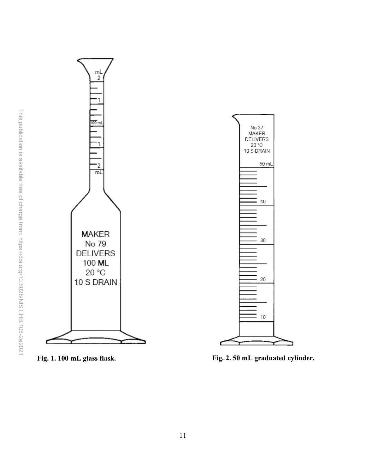

<span id="page-17-0"></span>**Fig. 1. 100 mL glass flask**

**. Fig. 2. 50 mL graduated cylinder.**